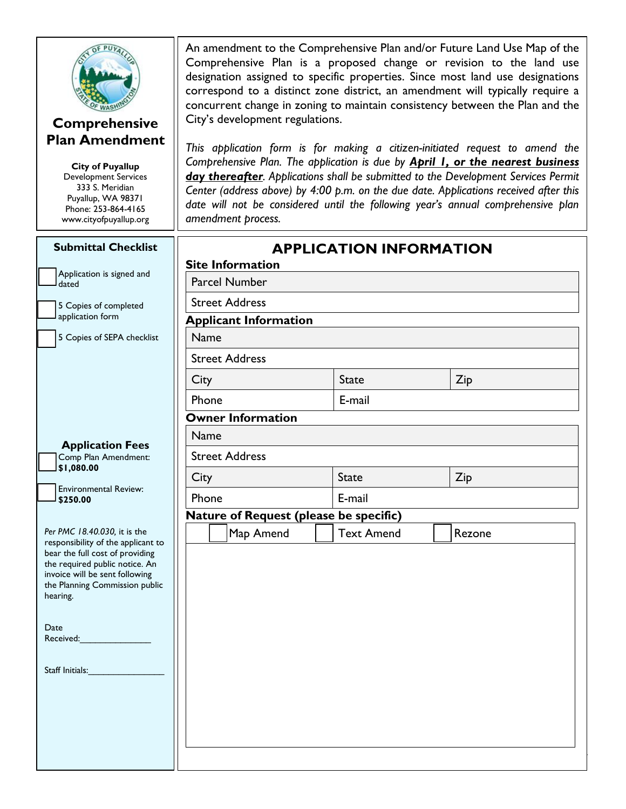

#### **Comprehensive Plan Amendment**

**City of Puyallup** Development Services 333 S. Meridian Puyallup, WA 98371 Phone: 253-864-4165 www.cityofpuyallup.org An amendment to the Comprehensive Plan and/or Future Land Use Map of the Comprehensive Plan is a proposed change or revision to the land use designation assigned to specific properties. Since most land use designations correspond to a distinct zone district, an amendment will typically require a concurrent change in zoning to maintain consistency between the Plan and the City's development regulations.

*This application form is for making a citizen-initiated request to amend the Comprehensive Plan. The application is due by April 1, or the nearest business day thereafter. Applications shall be submitted to the Development Services Permit Center (address above) by 4:00 p.m. on the due date. Applications received after this date will not be considered until the following year's annual comprehensive plan amendment process.* 

| <b>Submittal Checklist</b>                                         | <b>APPLICATION INFORMATION</b><br><b>Site Information</b> |                   |        |  |
|--------------------------------------------------------------------|-----------------------------------------------------------|-------------------|--------|--|
| Application is signed and<br>dated                                 | <b>Parcel Number</b>                                      |                   |        |  |
| 5 Copies of completed                                              | <b>Street Address</b>                                     |                   |        |  |
| application form                                                   | <b>Applicant Information</b>                              |                   |        |  |
| 5 Copies of SEPA checklist                                         | Name                                                      |                   |        |  |
|                                                                    | <b>Street Address</b>                                     |                   |        |  |
|                                                                    | City                                                      | <b>State</b>      | Zip    |  |
|                                                                    | Phone<br><b>Owner Information</b>                         | E-mail            |        |  |
|                                                                    |                                                           |                   |        |  |
| Name<br><b>Application Fees</b>                                    |                                                           |                   |        |  |
| Comp Plan Amendment:<br>\$1,080.00                                 | <b>Street Address</b>                                     |                   |        |  |
| City                                                               |                                                           | <b>State</b>      | Zip    |  |
| <b>Environmental Review:</b><br>\$250.00                           | Phone                                                     | E-mail            |        |  |
|                                                                    | Nature of Request (please be specific)                    |                   |        |  |
| Per PMC 18.40.030, it is the<br>responsibility of the applicant to | Map Amend                                                 | <b>Text Amend</b> | Rezone |  |
| bear the full cost of providing                                    |                                                           |                   |        |  |
| the required public notice. An<br>invoice will be sent following   |                                                           |                   |        |  |
| the Planning Commission public<br>hearing.                         |                                                           |                   |        |  |
|                                                                    |                                                           |                   |        |  |
| Date                                                               |                                                           |                   |        |  |
| Received:                                                          |                                                           |                   |        |  |
| Staff Initials:                                                    |                                                           |                   |        |  |
|                                                                    |                                                           |                   |        |  |
|                                                                    |                                                           |                   |        |  |
|                                                                    |                                                           |                   |        |  |
|                                                                    |                                                           |                   |        |  |
|                                                                    |                                                           |                   |        |  |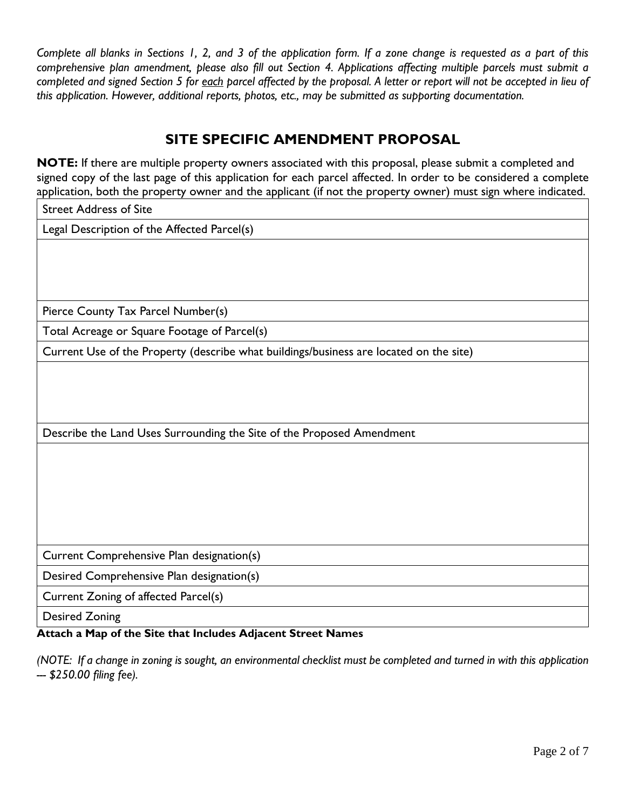*Complete all blanks in Sections 1, 2, and 3 of the application form. If a zone change is requested as a part of this comprehensive plan amendment, please also fill out Section 4. Applications affecting multiple parcels must submit a completed and signed Section 5 for each parcel affected by the proposal. A letter or report will not be accepted in lieu of this application. However, additional reports, photos, etc., may be submitted as supporting documentation.*

# **SITE SPECIFIC AMENDMENT PROPOSAL**

**NOTE:** If there are multiple property owners associated with this proposal, please submit a completed and signed copy of the last page of this application for each parcel affected. In order to be considered a complete application, both the property owner and the applicant (if not the property owner) must sign where indicated.

Street Address of Site

Legal Description of the Affected Parcel(s)

Pierce County Tax Parcel Number(s)

Total Acreage or Square Footage of Parcel(s)

Current Use of the Property (describe what buildings/business are located on the site)

Describe the Land Uses Surrounding the Site of the Proposed Amendment

Current Comprehensive Plan designation(s)

Desired Comprehensive Plan designation(s)

Current Zoning of affected Parcel(s)

Desired Zoning

#### **Attach a Map of the Site that Includes Adjacent Street Names**

*(NOTE: If a change in zoning is sought, an environmental checklist must be completed and turned in with this application --- \$250.00 filing fee).*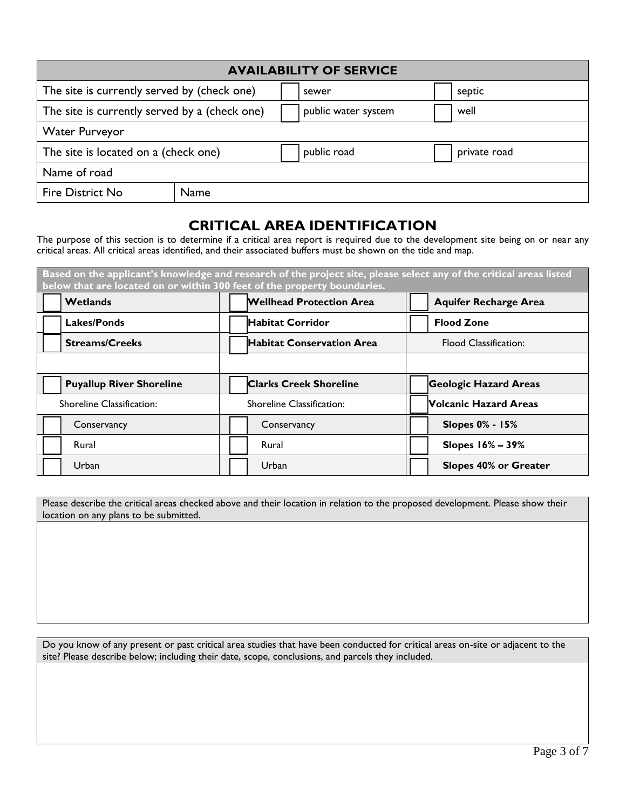| <b>AVAILABILITY OF SERVICE</b>                |      |  |                     |  |              |
|-----------------------------------------------|------|--|---------------------|--|--------------|
| The site is currently served by (check one)   |      |  | sewer               |  | septic       |
| The site is currently served by a (check one) |      |  | public water system |  | well         |
| <b>Water Purveyor</b>                         |      |  |                     |  |              |
| The site is located on a (check one)          |      |  | public road         |  | private road |
| Name of road                                  |      |  |                     |  |              |
| Fire District No                              | Name |  |                     |  |              |

#### **CRITICAL AREA IDENTIFICATION**

The purpose of this section is to determine if a critical area report is required due to the development site being on or near any critical areas. All critical areas identified, and their associated buffers must be shown on the title and map.

| Based on the applicant's knowledge and research of the project site, please select any of the critical areas listed<br>below that are located on or within 300 feet of the property boundaries. |                                  |                              |  |
|-------------------------------------------------------------------------------------------------------------------------------------------------------------------------------------------------|----------------------------------|------------------------------|--|
| Wetlands                                                                                                                                                                                        | <b>Wellhead Protection Area</b>  | <b>Aquifer Recharge Area</b> |  |
| Lakes/Ponds                                                                                                                                                                                     | <b>Habitat Corridor</b>          | <b>Flood Zone</b>            |  |
| <b>Streams/Creeks</b>                                                                                                                                                                           | <b>Habitat Conservation Area</b> | <b>Flood Classification:</b> |  |
|                                                                                                                                                                                                 |                                  |                              |  |
| <b>Puyallup River Shoreline</b>                                                                                                                                                                 | <b>Clarks Creek Shoreline</b>    | <b>Geologic Hazard Areas</b> |  |
| Shoreline Classification:                                                                                                                                                                       | <b>Shoreline Classification:</b> | <b>Volcanic Hazard Areas</b> |  |
| Conservancy                                                                                                                                                                                     | Conservancy                      | <b>Slopes 0% - 15%</b>       |  |
| Rural                                                                                                                                                                                           | Rural                            | Slopes 16% - 39%             |  |
| Urban                                                                                                                                                                                           | Urban                            | <b>Slopes 40% or Greater</b> |  |

Please describe the critical areas checked above and their location in relation to the proposed development. Please show their location on any plans to be submitted.

Do you know of any present or past critical area studies that have been conducted for critical areas on-site or adjacent to the site? Please describe below; including their date, scope, conclusions, and parcels they included.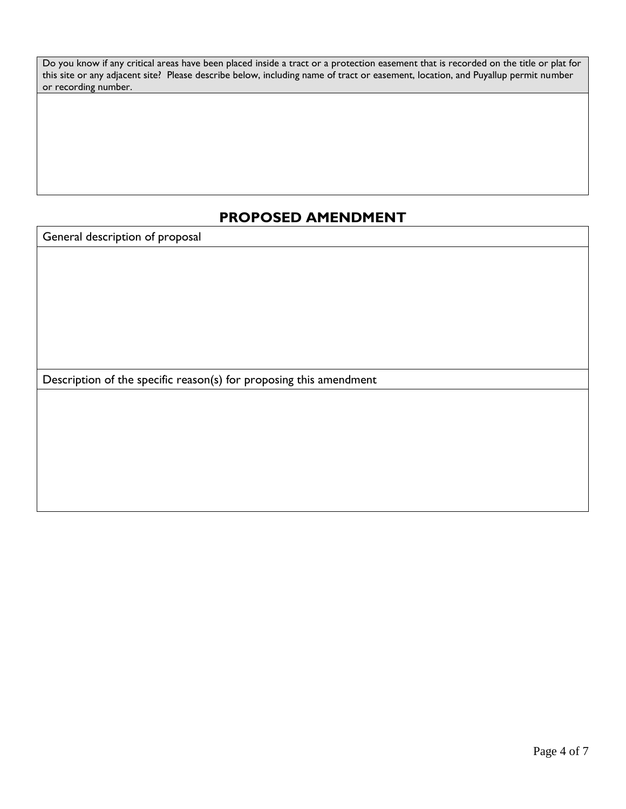Do you know if any critical areas have been placed inside a tract or a protection easement that is recorded on the title or plat for this site or any adjacent site? Please describe below, including name of tract or easement, location, and Puyallup permit number or recording number.

## **PROPOSED AMENDMENT**

General description of proposal

Description of the specific reason(s) for proposing this amendment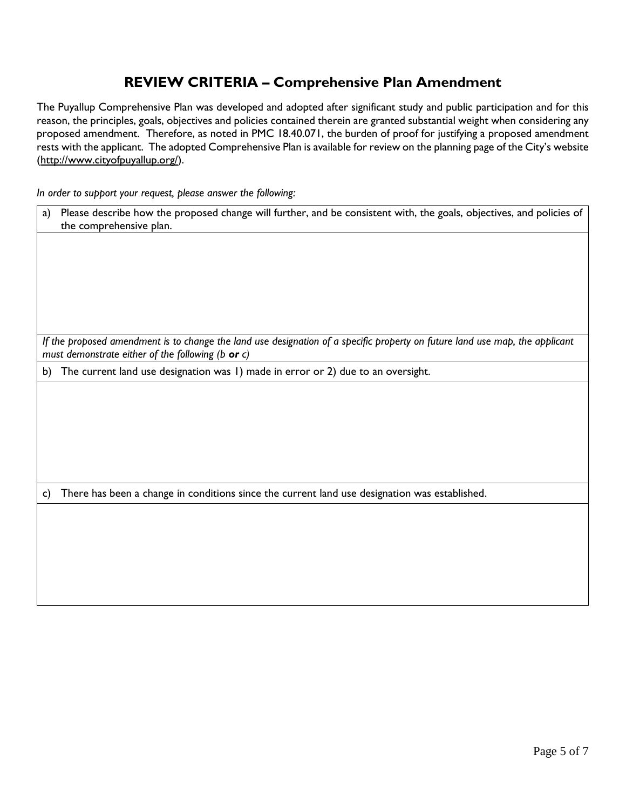### **REVIEW CRITERIA – Comprehensive Plan Amendment**

The Puyallup Comprehensive Plan was developed and adopted after significant study and public participation and for this reason, the principles, goals, objectives and policies contained therein are granted substantial weight when considering any proposed amendment. Therefore, as noted in PMC 18.40.071, the burden of proof for justifying a proposed amendment rests with the applicant. The adopted Comprehensive Plan is available for review on the planning page of the City's website [\(http://www.cityofpuyallup.org/\)](http://www.cityofpuyallup.org/).

*In order to support your request, please answer the following:*

| Please describe how the proposed change will further, and be consistent with, the goals, objectives, and policies of<br>a)<br>the comprehensive plan.                             |  |  |
|-----------------------------------------------------------------------------------------------------------------------------------------------------------------------------------|--|--|
|                                                                                                                                                                                   |  |  |
|                                                                                                                                                                                   |  |  |
|                                                                                                                                                                                   |  |  |
|                                                                                                                                                                                   |  |  |
|                                                                                                                                                                                   |  |  |
|                                                                                                                                                                                   |  |  |
| If the proposed amendment is to change the land use designation of a specific property on future land use map, the applicant<br>must demonstrate either of the following (b or c) |  |  |
| The current land use designation was 1) made in error or 2) due to an oversight.<br>b)                                                                                            |  |  |
|                                                                                                                                                                                   |  |  |
|                                                                                                                                                                                   |  |  |
|                                                                                                                                                                                   |  |  |
|                                                                                                                                                                                   |  |  |
|                                                                                                                                                                                   |  |  |
|                                                                                                                                                                                   |  |  |
| There has been a change in conditions since the current land use designation was established.<br>C)                                                                               |  |  |
|                                                                                                                                                                                   |  |  |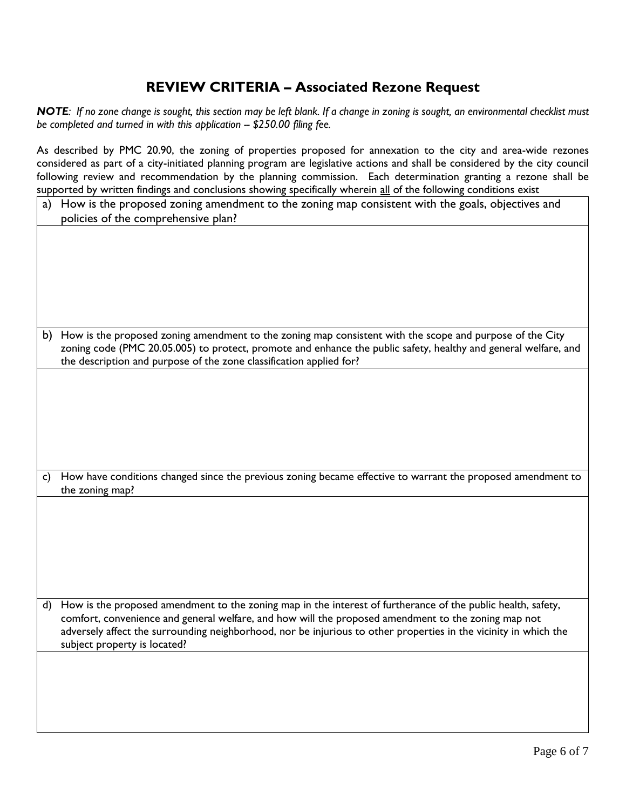#### **REVIEW CRITERIA – Associated Rezone Request**

*NOTE: If no zone change is sought, this section may be left blank. If a change in zoning is sought, an environmental checklist must be completed and turned in with this application -- \$250.00 filing fee.* 

As described by PMC 20.90, the zoning of properties proposed for annexation to the city and area-wide rezones considered as part of a city-initiated planning program are legislative actions and shall be considered by the city council following review and recommendation by the planning commission. Each determination granting a rezone shall be supported by written findings and conclusions showing specifically wherein all of the following conditions exist

| a) | How is the proposed zoning amendment to the zoning map consistent with the goals, objectives and<br>policies of the comprehensive plan?                                                                                                                                                                                                    |
|----|--------------------------------------------------------------------------------------------------------------------------------------------------------------------------------------------------------------------------------------------------------------------------------------------------------------------------------------------|
|    |                                                                                                                                                                                                                                                                                                                                            |
|    |                                                                                                                                                                                                                                                                                                                                            |
|    |                                                                                                                                                                                                                                                                                                                                            |
|    |                                                                                                                                                                                                                                                                                                                                            |
|    |                                                                                                                                                                                                                                                                                                                                            |
| b) | How is the proposed zoning amendment to the zoning map consistent with the scope and purpose of the City<br>zoning code (PMC 20.05.005) to protect, promote and enhance the public safety, healthy and general welfare, and<br>the description and purpose of the zone classification applied for?                                         |
|    |                                                                                                                                                                                                                                                                                                                                            |
|    |                                                                                                                                                                                                                                                                                                                                            |
|    |                                                                                                                                                                                                                                                                                                                                            |
|    |                                                                                                                                                                                                                                                                                                                                            |
|    | How have conditions changed since the previous zoning became effective to warrant the proposed amendment to                                                                                                                                                                                                                                |
| C) |                                                                                                                                                                                                                                                                                                                                            |
|    | the zoning map?                                                                                                                                                                                                                                                                                                                            |
|    |                                                                                                                                                                                                                                                                                                                                            |
|    |                                                                                                                                                                                                                                                                                                                                            |
|    |                                                                                                                                                                                                                                                                                                                                            |
|    |                                                                                                                                                                                                                                                                                                                                            |
|    |                                                                                                                                                                                                                                                                                                                                            |
|    | d) How is the proposed amendment to the zoning map in the interest of furtherance of the public health, safety,<br>comfort, convenience and general welfare, and how will the proposed amendment to the zoning map not<br>adversely affect the surrounding neighborhood, nor be injurious to other properties in the vicinity in which the |
|    | subject property is located?                                                                                                                                                                                                                                                                                                               |
|    |                                                                                                                                                                                                                                                                                                                                            |
|    |                                                                                                                                                                                                                                                                                                                                            |
|    |                                                                                                                                                                                                                                                                                                                                            |